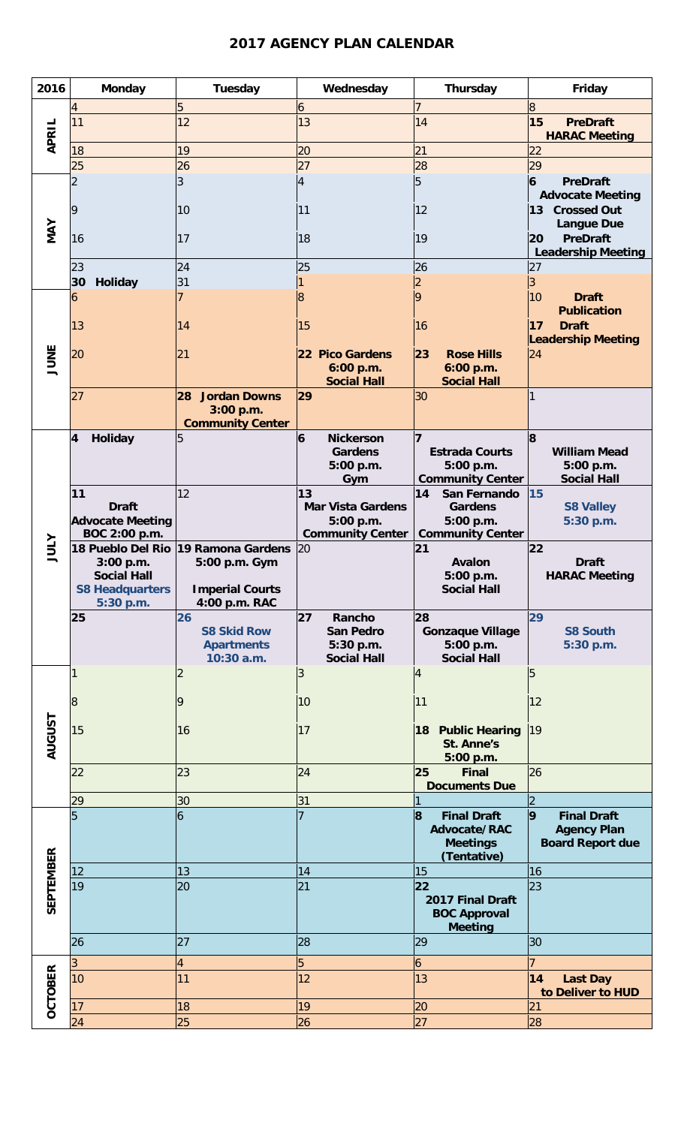## **2017 AGENCY PLAN CALENDAR**

| 2016             | <b>Monday</b>                                                  | Tuesday                                                                      | Wednesday                                                              | Thursday                                                                             | Friday                                                                   |
|------------------|----------------------------------------------------------------|------------------------------------------------------------------------------|------------------------------------------------------------------------|--------------------------------------------------------------------------------------|--------------------------------------------------------------------------|
| APRIL            | $\overline{4}$<br>11                                           | 5<br>12                                                                      | $\boldsymbol{6}$<br>13                                                 | 7<br>14                                                                              | $\overline{8}$<br>15<br><b>PreDraft</b><br><b>HARAC Meeting</b>          |
|                  | 18<br>25                                                       | 19<br>26                                                                     | 20<br>27                                                               | 21<br>28                                                                             | 22<br>29                                                                 |
| MAY              |                                                                | 3                                                                            | 4                                                                      | 5                                                                                    | $\overline{6}$<br><b>PreDraft</b><br><b>Advocate Meeting</b>             |
|                  | 9<br>16                                                        | 10<br>17                                                                     | 11<br>18                                                               | 12<br>19                                                                             | 13 Crossed Out<br><b>Langue Due</b><br><b>PreDraft</b><br>20             |
|                  | 23                                                             | 24                                                                           | 25                                                                     | 26                                                                                   | <b>Leadership Meeting</b><br>27                                          |
|                  | 30<br><b>Holiday</b>                                           | 31                                                                           |                                                                        | $\overline{2}$                                                                       | 3                                                                        |
|                  | 6                                                              |                                                                              | $\overline{8}$                                                         | <b>g</b>                                                                             | 10<br><b>Draft</b><br><b>Publication</b>                                 |
|                  | 13<br>20                                                       | 14<br>21                                                                     | 15<br>22 Pico Gardens                                                  | 16<br><b>Rose Hills</b><br>23                                                        | 17<br><b>Draft</b><br><b>Leadership Meeting</b><br> 24                   |
| JUNE             |                                                                |                                                                              | 6:00 p.m.<br><b>Social Hall</b>                                        | 6:00 p.m.<br><b>Social Hall</b>                                                      |                                                                          |
|                  | 27                                                             | <b>Jordan Downs</b><br>28<br>3:00 p.m.<br><b>Community Center</b>            | 29                                                                     | 30                                                                                   |                                                                          |
| <b>ATILE</b>     | 4<br>Holiday                                                   | 5                                                                            | 6<br><b>Nickerson</b><br><b>Gardens</b><br>5:00 p.m.<br>Gym            | 17<br><b>Estrada Courts</b><br>5:00 p.m.<br><b>Community Center</b>                  | 8<br><b>William Mead</b><br>5:00 p.m.<br><b>Social Hall</b>              |
|                  | 11<br><b>Draft</b><br><b>Advocate Meeting</b><br>BOC 2:00 p.m. | 12                                                                           | 13<br><b>Mar Vista Gardens</b><br>5:00 p.m.<br><b>Community Center</b> | 14<br>San Fernando<br><b>Gardens</b><br>5:00 p.m.<br><b>Community Center</b>         | 15<br><b>S8 Valley</b><br>5:30 p.m.                                      |
|                  | 18 Pueblo Del Rio<br>3:00 p.m.<br><b>Social Hall</b>           | 19 Ramona Gardens<br>5:00 p.m. Gym                                           | 20                                                                     | 21<br><b>Avalon</b><br>5:00 p.m                                                      | 22 <br><b>Draft</b><br><b>HARAC Meeting</b>                              |
|                  | <b>S8 Headquarters</b>                                         | <b>Imperial Courts</b>                                                       |                                                                        | <b>Social Hall</b>                                                                   |                                                                          |
|                  | 5:30 p.m.<br>25                                                | 4:00 p.m. RAC<br>26<br><b>S8 Skid Row</b><br><b>Apartments</b><br>10:30 a.m. | 27<br>Rancho<br><b>San Pedro</b><br>5:30 p.m.<br><b>Social Hall</b>    | 28<br><b>Gonzaque Village</b><br>5:00 p.m.<br><b>Social Hall</b>                     | 29<br><b>S8 South</b><br>5:30 p.m.                                       |
|                  |                                                                |                                                                              | 3                                                                      | 4                                                                                    | 5                                                                        |
|                  | $8\,$                                                          | 9                                                                            | 10                                                                     | 11                                                                                   | 12                                                                       |
| <b>AUGUST</b>    | 15                                                             | 16                                                                           | 17                                                                     | 18 Public Hearing<br>St. Anne's<br>5:00 p.m.                                         | 19                                                                       |
|                  | 22                                                             | 23                                                                           | 24                                                                     | 25<br><b>Final</b><br><b>Documents Due</b>                                           | 26                                                                       |
|                  | 29                                                             | 30                                                                           | 31                                                                     | 11                                                                                   |                                                                          |
|                  |                                                                | 6                                                                            |                                                                        | $\mathbf{8}$<br><b>Final Draft</b><br>Advocate/RAC<br><b>Meetings</b><br>(Tentative) | 9<br><b>Final Draft</b><br><b>Agency Plan</b><br><b>Board Report due</b> |
|                  | 12                                                             | 13                                                                           | 14                                                                     | 15                                                                                   | 16                                                                       |
| <b>SEPTEMBER</b> | 19                                                             | 20                                                                           | 21                                                                     | 22 <br>2017 Final Draft<br><b>BOC Approval</b><br><b>Meeting</b>                     | 23                                                                       |
|                  | 26                                                             | 27                                                                           | 28                                                                     | 29                                                                                   | 30                                                                       |
|                  |                                                                | 4                                                                            | 5                                                                      | 6                                                                                    |                                                                          |
|                  | 10                                                             | 11                                                                           | 12                                                                     | 13                                                                                   | 14<br><b>Last Day</b><br>to Deliver to HUD                               |
| <b>OCTOBER</b>   | 17<br>24                                                       | 18<br>25                                                                     | 19<br>26                                                               | 20<br>27                                                                             | 21<br>28                                                                 |